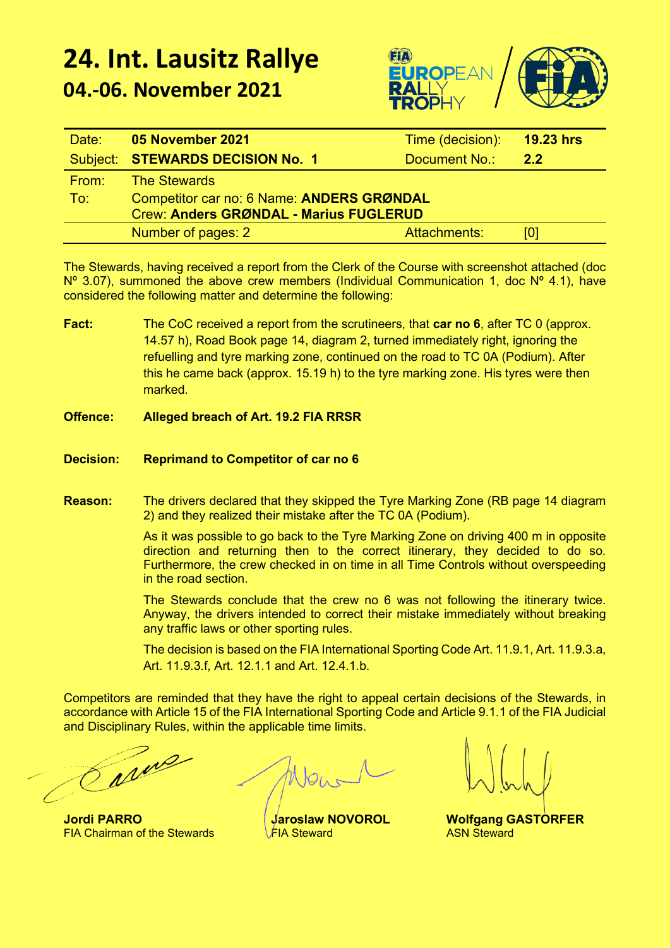## **24. Int. Lausitz Rallye 04.-06. November 2021**



| Date: | 05 November 2021                              | Time (decision): | 19.23 hrs |
|-------|-----------------------------------------------|------------------|-----------|
|       | Subject: STEWARDS DECISION No. 1              | Document No.:    | 2.2       |
| From: | <b>The Stewards</b>                           |                  |           |
| To:   | Competitor car no: 6 Name: ANDERS GRØNDAL     |                  |           |
|       | <b>Crew: Anders GRØNDAL - Marius FUGLERUD</b> |                  |           |
|       | Number of pages: 2                            | Attachments:     | Юl        |

The Stewards, having received a report from the Clerk of the Course with screenshot attached (doc  $N^{\circ}$  3.07), summoned the above crew members (Individual Communication 1, doc  $N^{\circ}$  4.1), have considered the following matter and determine the following:

- **Fact:** The CoC received a report from the scrutineers, that **car no 6**, after TC 0 (approx. 14.57 h), Road Book page 14, diagram 2, turned immediately right, ignoring the refuelling and tyre marking zone, continued on the road to TC 0A (Podium). After this he came back (approx. 15.19 h) to the tyre marking zone. His tyres were then marked.
- **Offence: Alleged breach of Art. 19.2 FIA RRSR**
- **Decision: Reprimand to Competitor of car no 6**
- **Reason:** The drivers declared that they skipped the Tyre Marking Zone (RB page 14 diagram 2) and they realized their mistake after the TC 0A (Podium).

As it was possible to go back to the Tyre Marking Zone on driving 400 m in opposite direction and returning then to the correct itinerary, they decided to do so. Furthermore, the crew checked in on time in all Time Controls without overspeeding in the road section.

The Stewards conclude that the crew no 6 was not following the itinerary twice. Anyway, the drivers intended to correct their mistake immediately without breaking any traffic laws or other sporting rules.

The decision is based on the FIA International Sporting Code Art. 11.9.1, Art. 11.9.3.a, Art. 11.9.3.f, Art. 12.1.1 and Art. 12.4.1.b.

Competitors are reminded that they have the right to appeal certain decisions of the Stewards, in accordance with Article 15 of the FIA International Sporting Code and Article 9.1.1 of the FIA Judicial and Disciplinary Rules, within the applicable time limits.

Tarne

**Jordi PARRO Jaroslaw NOVOROL Wolfgang GASTORFER**<br>FIA Chairman of the Stewards FIA Steward ASN Steward ASN Steward **FIA Chairman of the Stewards**